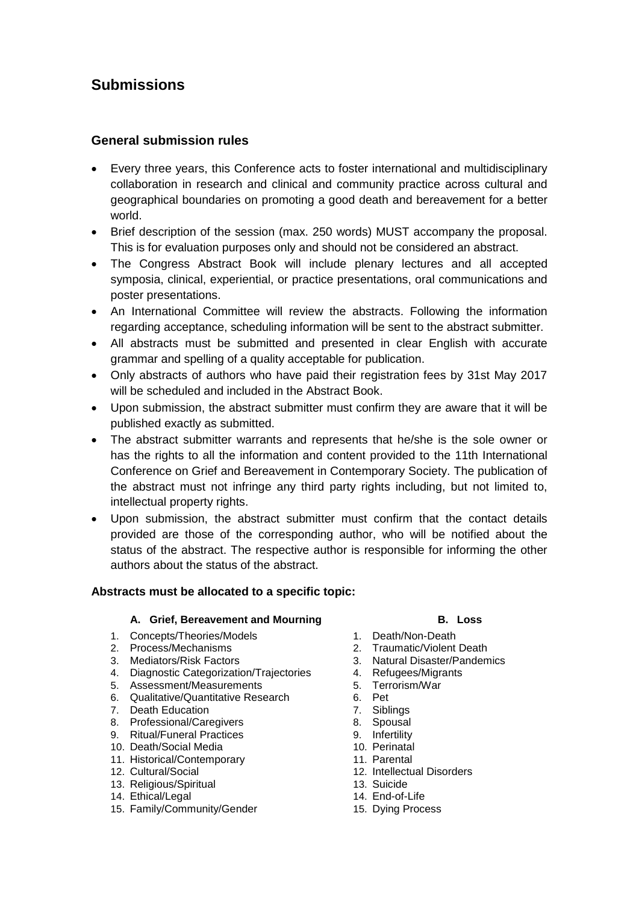# **Submissions**

# **General submission rules**

- Every three years, this Conference acts to foster international and multidisciplinary collaboration in research and clinical and community practice across cultural and geographical boundaries on promoting a good death and bereavement for a better world.
- Brief description of the session (max. 250 words) MUST accompany the proposal. This is for evaluation purposes only and should not be considered an abstract.
- The Congress Abstract Book will include plenary lectures and all accepted symposia, clinical, experiential, or practice presentations, oral communications and poster presentations.
- An International Committee will review the abstracts. Following the information regarding acceptance, scheduling information will be sent to the abstract submitter.
- All abstracts must be submitted and presented in clear English with accurate grammar and spelling of a quality acceptable for publication.
- Only abstracts of authors who have paid their registration fees by 31st May 2017 will be scheduled and included in the Abstract Book.
- Upon submission, the abstract submitter must confirm they are aware that it will be published exactly as submitted.
- The abstract submitter warrants and represents that he/she is the sole owner or has the rights to all the information and content provided to the 11th International Conference on Grief and Bereavement in Contemporary Society. The publication of the abstract must not infringe any third party rights including, but not limited to, intellectual property rights.
- Upon submission, the abstract submitter must confirm that the contact details provided are those of the corresponding author, who will be notified about the status of the abstract. The respective author is responsible for informing the other authors about the status of the abstract.

# **Abstracts must be allocated to a specific topic:**

# **A. Grief, Bereavement and Mourning B. Loss**

- 1. Concepts/Theories/Models 1. Death/Non-Death
- 
- 
- 4. Diagnostic Categorization/Trajectories 4. Refugees/Migrants<br>5. Assessment/Measurements 5. Terrorism/War
- 5. Assessment/Measurements 5. Terrorism<br>6. Qualitative/Quantitative Research 6. Pet
- 6. Qualitative/Quantitative Research
- 
- 7. Death Education 7. Siblings<br>
8. Professional/Caregivers 8. Spousal<br>
9. Ritual/Funeral Practices 9. Infertility 8. Professional/Caregivers
- 9. Ritual/Funeral Practices
- 10. Death/Social Media 10. Perinatal
- 11. Historical/Contemporary 11. Parental
- 
- 13. Religious/Spiritual 13. Suicide
- 14. Ethical/Legal 14. End-of-Life
- 15. Family/Community/Gender 15. Dying Process

- 
- 2. Process/Mechanisms 2. Traumatic/Violent Death
- 3. Mediators/Risk Factors 3. Natural Disaster/Pandemics
	-
	-
	-
	-
	-
	-
	-
	-
- 12. Cultural/Social 12. Intellectual Disorders
	-
	-
	-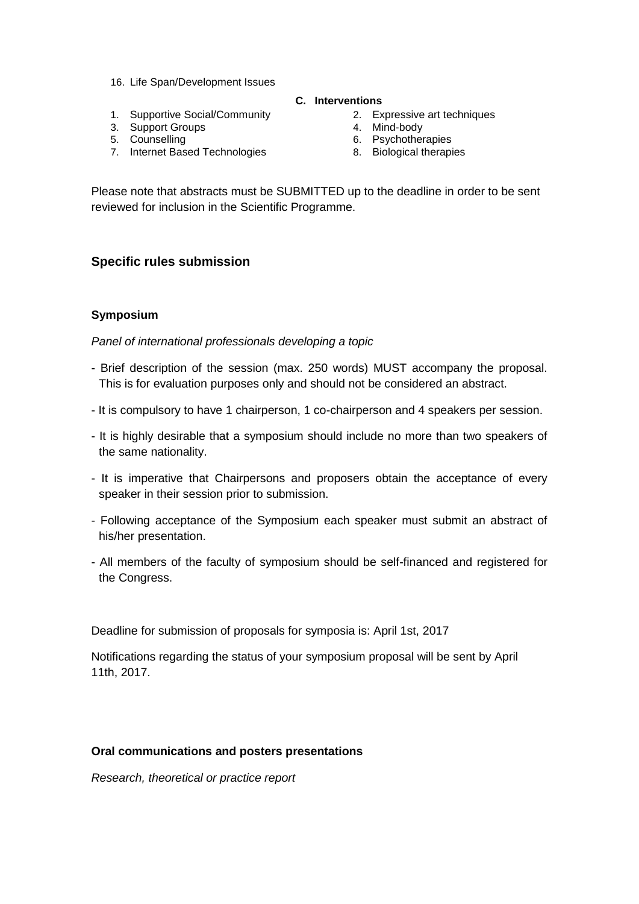- 16. Life Span/Development Issues
- **C. Interventions**
- 1. Supportive Social/Community 2. Expressive art techniques
- 3. Support Groups<br>5. Counselling
- 
- 7. Internet Based Technologies 8. Biological therapies
- 
- 4. Mind-body<br>6. Psychotherapies
	-
	-

Please note that abstracts must be SUBMITTED up to the deadline in order to be sent reviewed for inclusion in the Scientific Programme.

# **Specific rules submission**

### **Symposium**

*Panel of international professionals developing a topic*

- Brief description of the session (max. 250 words) MUST accompany the proposal. This is for evaluation purposes only and should not be considered an abstract.
- It is compulsory to have 1 chairperson, 1 co-chairperson and 4 speakers per session.
- It is highly desirable that a symposium should include no more than two speakers of the same nationality.
- It is imperative that Chairpersons and proposers obtain the acceptance of every speaker in their session prior to submission.
- Following acceptance of the Symposium each speaker must submit an abstract of his/her presentation.
- All members of the faculty of symposium should be self-financed and registered for the Congress.

Deadline for submission of proposals for symposia is: April 1st, 2017

Notifications regarding the status of your symposium proposal will be sent by April 11th, 2017.

# **Oral communications and posters presentations**

*Research, theoretical or practice report*